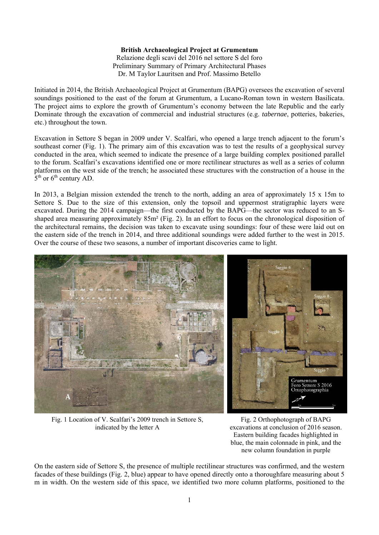## **British Archaeological Project at Grumentum**  Relazione degli scavi del 2016 nel settore S del foro Preliminary Summary of Primary Architectural Phases Dr. M Taylor Lauritsen and Prof. Massimo Betello

Initiated in 2014, the British Archaeological Project at Grumentum (BAPG) oversees the excavation of several soundings positioned to the east of the forum at Grumentum, a Lucano-Roman town in western Basilicata. The project aims to explore the growth of Grumentum's economy between the late Republic and the early Dominate through the excavation of commercial and industrial structures (e.g. *tabernae*, potteries, bakeries, etc.) throughout the town.

Excavation in Settore S began in 2009 under V. Scalfari, who opened a large trench adjacent to the forum's southeast corner (Fig. 1). The primary aim of this excavation was to test the results of a geophysical survey conducted in the area, which seemed to indicate the presence of a large building complex positioned parallel to the forum. Scalfari's excavations identified one or more rectilinear structures as well as a series of column platforms on the west side of the trench; he associated these structures with the construction of a house in the  $5<sup>th</sup>$  or 6<sup>th</sup> century AD.

In 2013, a Belgian mission extended the trench to the north, adding an area of approximately 15 x 15m to Settore S. Due to the size of this extension, only the topsoil and uppermost stratigraphic layers were excavated. During the 2014 campaign—the first conducted by the BAPG—the sector was reduced to an Sshaped area measuring approximately 85m² (Fig. 2). In an effort to focus on the chronological disposition of the architectural remains, the decision was taken to excavate using soundings: four of these were laid out on the eastern side of the trench in 2014, and three additional soundings were added further to the west in 2015. Over the course of these two seasons, a number of important discoveries came to light.



Fig. 1 Location of V. Scalfari's 2009 trench in Settore S, indicated by the letter A

Fig. 2 Orthophotograph of BAPG excavations at conclusion of 2016 season. Eastern building facades highlighted in blue, the main colonnade in pink, and the new column foundation in purple

On the eastern side of Settore S, the presence of multiple rectilinear structures was confirmed, and the western facades of these buildings (Fig. 2, blue) appear to have opened directly onto a thoroughfare measuring about 5 m in width. On the western side of this space, we identified two more column platforms, positioned to the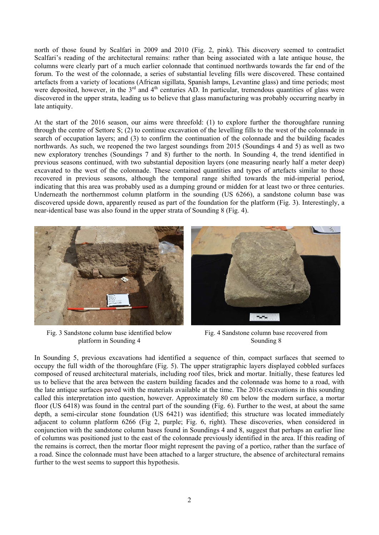north of those found by Scalfari in 2009 and 2010 (Fig. 2, pink). This discovery seemed to contradict Scalfari's reading of the architectural remains: rather than being associated with a late antique house, the columns were clearly part of a much earlier colonnade that continued northwards towards the far end of the forum. To the west of the colonnade, a series of substantial leveling fills were discovered. These contained artefacts from a variety of locations (African sigillata, Spanish lamps, Levantine glass) and time periods; most were deposited, however, in the  $3<sup>rd</sup>$  and  $4<sup>th</sup>$  centuries AD. In particular, tremendous quantities of glass were discovered in the upper strata, leading us to believe that glass manufacturing was probably occurring nearby in late antiquity.

At the start of the 2016 season, our aims were threefold: (1) to explore further the thoroughfare running through the centre of Settore S; (2) to continue excavation of the levelling fills to the west of the colonnade in search of occupation layers; and (3) to confirm the continuation of the colonnade and the building facades northwards. As such, we reopened the two largest soundings from 2015 (Soundings 4 and 5) as well as two new exploratory trenches (Soundings 7 and 8) further to the north. In Sounding 4, the trend identified in previous seasons continued, with two substantial deposition layers (one measuring nearly half a meter deep) excavated to the west of the colonnade. These contained quantities and types of artefacts similar to those recovered in previous seasons, although the temporal range shifted towards the mid-imperial period, indicating that this area was probably used as a dumping ground or midden for at least two or three centuries. Underneath the northernmost column platform in the sounding (US 6266), a sandstone column base was discovered upside down, apparently reused as part of the foundation for the platform (Fig. 3). Interestingly, a near-identical base was also found in the upper strata of Sounding 8 (Fig. 4).







Fig. 4 Sandstone column base recovered from Sounding 8

In Sounding 5, previous excavations had identified a sequence of thin, compact surfaces that seemed to occupy the full width of the thoroughfare (Fig. 5). The upper stratigraphic layers displayed cobbled surfaces composed of reused architectural materials, including roof tiles, brick and mortar. Initially, these features led us to believe that the area between the eastern building facades and the colonnade was home to a road, with the late antique surfaces paved with the materials available at the time. The 2016 excavations in this sounding called this interpretation into question, however. Approximately 80 cm below the modern surface, a mortar floor (US 6418) was found in the central part of the sounding (Fig. 6). Further to the west, at about the same depth, a semi-circular stone foundation (US 6421) was identified; this structure was located immediately adjacent to column platform 6266 (Fig 2, purple; Fig. 6, right). These discoveries, when considered in conjunction with the sandstone column bases found in Soundings 4 and 8, suggest that perhaps an earlier line of columns was positioned just to the east of the colonnade previously identified in the area. If this reading of the remains is correct, then the mortar floor might represent the paving of a portico, rather than the surface of a road. Since the colonnade must have been attached to a larger structure, the absence of architectural remains further to the west seems to support this hypothesis.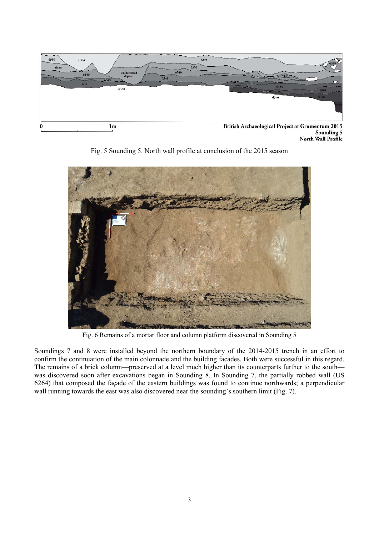

Sounding 5<br>
North Wall Profile





Fig. 6 Remains of a mortar floor and column platform discovered in Sounding 5

Soundings 7 and 8 were installed beyond the northern boundary of the 2014-2015 trench in an effort to confirm the continuation of the main colonnade and the building facades. Both were successful in this regard. The remains of a brick column—preserved at a level much higher than its counterparts further to the south was discovered soon after excavations began in Sounding 8. In Sounding 7, the partially robbed wall (US 6264) that composed the façade of the eastern buildings was found to continue northwards; a perpendicular wall running towards the east was also discovered near the sounding's southern limit (Fig. 7).